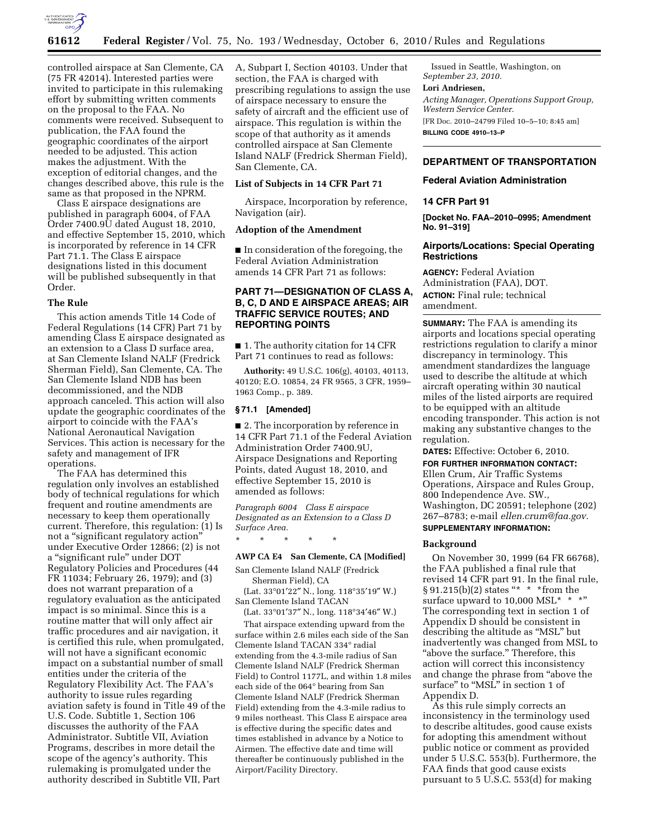

controlled airspace at San Clemente, CA (75 FR 42014). Interested parties were invited to participate in this rulemaking effort by submitting written comments on the proposal to the FAA. No comments were received. Subsequent to publication, the FAA found the geographic coordinates of the airport needed to be adjusted. This action makes the adjustment. With the exception of editorial changes, and the changes described above, this rule is the same as that proposed in the NPRM.

Class E airspace designations are published in paragraph 6004, of FAA Order 7400.9U dated August 18, 2010, and effective September 15, 2010, which is incorporated by reference in 14 CFR Part 71.1. The Class E airspace designations listed in this document will be published subsequently in that Order.

## **The Rule**

This action amends Title 14 Code of Federal Regulations (14 CFR) Part 71 by amending Class E airspace designated as an extension to a Class D surface area, at San Clemente Island NALF (Fredrick Sherman Field), San Clemente, CA. The San Clemente Island NDB has been decommissioned, and the NDB approach canceled. This action will also update the geographic coordinates of the airport to coincide with the FAA's National Aeronautical Navigation Services. This action is necessary for the safety and management of IFR operations.

The FAA has determined this regulation only involves an established body of technical regulations for which frequent and routine amendments are necessary to keep them operationally current. Therefore, this regulation: (1) Is not a ''significant regulatory action'' under Executive Order 12866; (2) is not a ''significant rule'' under DOT Regulatory Policies and Procedures (44 FR 11034; February 26, 1979); and (3) does not warrant preparation of a regulatory evaluation as the anticipated impact is so minimal. Since this is a routine matter that will only affect air traffic procedures and air navigation, it is certified this rule, when promulgated, will not have a significant economic impact on a substantial number of small entities under the criteria of the Regulatory Flexibility Act. The FAA's authority to issue rules regarding aviation safety is found in Title 49 of the U.S. Code. Subtitle 1, Section 106 discusses the authority of the FAA Administrator. Subtitle VII, Aviation Programs, describes in more detail the scope of the agency's authority. This rulemaking is promulgated under the authority described in Subtitle VII, Part

A, Subpart I, Section 40103. Under that section, the FAA is charged with prescribing regulations to assign the use of airspace necessary to ensure the safety of aircraft and the efficient use of airspace. This regulation is within the scope of that authority as it amends controlled airspace at San Clemente Island NALF (Fredrick Sherman Field), San Clemente, CA.

#### **List of Subjects in 14 CFR Part 71**

Airspace, Incorporation by reference, Navigation (air).

## **Adoption of the Amendment**

■ In consideration of the foregoing, the Federal Aviation Administration amends 14 CFR Part 71 as follows:

# **PART 71—DESIGNATION OF CLASS A, B, C, D AND E AIRSPACE AREAS; AIR TRAFFIC SERVICE ROUTES; AND REPORTING POINTS**

■ 1. The authority citation for 14 CFR Part 71 continues to read as follows:

**Authority:** 49 U.S.C. 106(g), 40103, 40113, 40120; E.O. 10854, 24 FR 9565, 3 CFR, 1959– 1963 Comp., p. 389.

## **§ 71.1 [Amended]**

■ 2. The incorporation by reference in 14 CFR Part 71.1 of the Federal Aviation Administration Order 7400.9U, Airspace Designations and Reporting Points, dated August 18, 2010, and effective September 15, 2010 is amended as follows:

*Paragraph 6004 Class E airspace Designated as an Extension to a Class D Surface Area.* 

# **AWP CA E4 San Clemente, CA [Modified]**

\* \* \* \* \*

San Clemente Island NALF (Fredrick Sherman Field), CA

(Lat. 33°01′22″ N., long. 118°35′19″ W.) San Clemente Island TACAN

(Lat. 33°01′37″ N., long. 118°34′46″ W.)

That airspace extending upward from the surface within 2.6 miles each side of the San Clemente Island TACAN 334° radial extending from the 4.3-mile radius of San Clemente Island NALF (Fredrick Sherman Field) to Control 1177L, and within 1.8 miles each side of the 064° bearing from San Clemente Island NALF (Fredrick Sherman Field) extending from the 4.3-mile radius to 9 miles northeast. This Class E airspace area is effective during the specific dates and times established in advance by a Notice to Airmen. The effective date and time will thereafter be continuously published in the Airport/Facility Directory.

Issued in Seattle, Washington, on *September 23, 2010.*  **Lori Andriesen,** 

*Acting Manager, Operations Support Group, Western Service Center.*  [FR Doc. 2010–24799 Filed 10–5–10; 8:45 am] **BILLING CODE 4910–13–P** 

## **DEPARTMENT OF TRANSPORTATION**

## **Federal Aviation Administration**

#### **14 CFR Part 91**

**[Docket No. FAA–2010–0995; Amendment No. 91–319]** 

## **Airports/Locations: Special Operating Restrictions**

**AGENCY:** Federal Aviation Administration (FAA), DOT. **ACTION:** Final rule; technical amendment.

**SUMMARY:** The FAA is amending its airports and locations special operating restrictions regulation to clarify a minor discrepancy in terminology. This amendment standardizes the language used to describe the altitude at which aircraft operating within 30 nautical miles of the listed airports are required to be equipped with an altitude encoding transponder. This action is not making any substantive changes to the regulation.

**DATES:** Effective: October 6, 2010.

**FOR FURTHER INFORMATION CONTACT:** 

Ellen Crum, Air Traffic Systems Operations, Airspace and Rules Group, 800 Independence Ave. SW., Washington, DC 20591; telephone (202) 267–8783; e-mail *[ellen.crum@faa.gov.](mailto:ellen.crum@faa.gov)*  **SUPPLEMENTARY INFORMATION:** 

#### **Background**

On November 30, 1999 (64 FR 66768), the FAA published a final rule that revised 14 CFR part 91. In the final rule,  $§ 91.215(b)(2)$  states "\* \* \* from the surface upward to 10,000 MSL\*  $\hspace{0.1cm}^{\ast}$   $\hspace{0.1cm}^{\ast}$  " The corresponding text in section 1 of Appendix D should be consistent in describing the altitude as ''MSL'' but inadvertently was changed from MSL to "above the surface." Therefore, this action will correct this inconsistency and change the phrase from ''above the surface" to "MSL" in section 1 of Appendix D.

As this rule simply corrects an inconsistency in the terminology used to describe altitudes, good cause exists for adopting this amendment without public notice or comment as provided under 5 U.S.C. 553(b). Furthermore, the FAA finds that good cause exists pursuant to 5 U.S.C. 553(d) for making